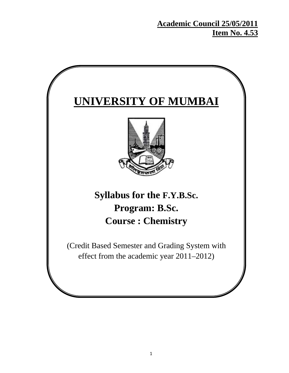**Academic Council 25/05/2011 Item No. 4.53**

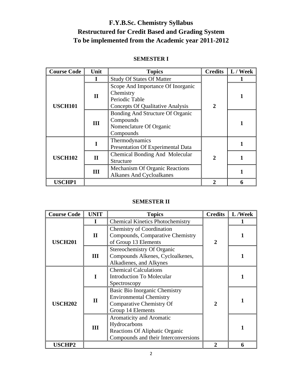## **F.Y.B.Sc. Chemistry Syllabus Restructured for Credit Based and Grading System To be implemented from the Academic year 2011-2012**

### **SEMESTER I**

| <b>Course Code</b> | Unit         | <b>Topics</b>                                                                                               | <b>Credits</b> | L / Week |
|--------------------|--------------|-------------------------------------------------------------------------------------------------------------|----------------|----------|
|                    |              | <b>Study Of States Of Matter</b>                                                                            |                |          |
| <b>USCH101</b>     | $\mathbf{I}$ | Scope And Importance Of Inorganic<br>Chemistry<br>Periodic Table<br><b>Concepts Of Qualitative Analysis</b> | $\overline{2}$ |          |
|                    | III          | Bonding And Structure Of Organic<br>Compounds<br>Nomenclature Of Organic<br>Compounds                       |                |          |
|                    |              | Thermodynamics<br>Presentation Of Experimental Data                                                         |                |          |
| <b>USCH102</b>     | $\mathbf{I}$ | Chemical Bonding And Molecular<br>Structure                                                                 | $\overline{2}$ |          |
|                    | III          | <b>Mechanism Of Organic Reactions</b><br><b>Alkanes And Cycloalkanes</b>                                    |                |          |
| <b>USCHP1</b>      |              |                                                                                                             |                |          |

#### **SEMESTER II**

| <b>Course Code</b> | <b>UNIT</b><br><b>Topics</b> |                                                                                                                    | <b>Credits</b> | L/Week |
|--------------------|------------------------------|--------------------------------------------------------------------------------------------------------------------|----------------|--------|
|                    |                              | <b>Chemical Kinetics Photochemistry</b>                                                                            |                |        |
| <b>USCH201</b>     | $\mathbf{I}$                 | <b>Chemistry of Coordination</b><br>Compounds, Comparative Chemistry<br>of Group 13 Elements                       | $\mathbf 2$    |        |
|                    | III                          | <b>Stereochemistry Of Organic</b><br>Compounds Alkenes, Cycloalkenes,<br>Alkadienes, and Alkynes                   |                |        |
| <b>USCH202</b>     |                              | <b>Chemical Calculations</b><br><b>Introduction To Molecular</b><br>Spectroscopy                                   |                |        |
|                    | $\mathbf{I}$                 | Basic Bio Inorganic Chemistry<br><b>Environmental Chemistry</b><br>Comparative Chemistry Of<br>Group 14 Elements   | 2              |        |
|                    | III                          | Aromaticity and Aromatic<br>Hydrocarbons<br>Reactions Of Aliphatic Organic<br>Compounds and their Interconversions |                |        |
| <b>USCHP2</b>      |                              |                                                                                                                    |                | 6      |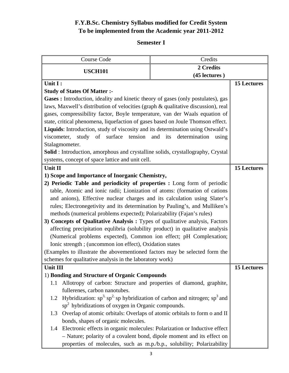### **F.Y.B.Sc. Chemistry Syllabus modified for Credit System To be implemented from the Academic year 2011-2012**

### **Semester I**

| Credits<br>Course Code                                                                      |                        |                    |
|---------------------------------------------------------------------------------------------|------------------------|--------------------|
| 2 Credits                                                                                   |                        |                    |
| <b>USCH101</b>                                                                              | (45 lectures)          |                    |
| Unit I:                                                                                     |                        | <b>15 Lectures</b> |
| <b>Study of States Of Matter:-</b>                                                          |                        |                    |
| Gases : Introduction, ideality and kinetic theory of gases (only postulates), gas           |                        |                    |
| laws, Maxwell's distribution of velocities (graph & qualitative discussion), real           |                        |                    |
| gases, compressibility factor, Boyle temperature, van der Waals equation of                 |                        |                    |
| state, critical phenomena, liquefaction of gases based on Joule Thomson effect.             |                        |                    |
| Liquids: Introduction, study of viscosity and its determination using Ostwald's             |                        |                    |
| study of surface tension and its<br>viscometer,                                             | determination<br>using |                    |
| Stalagmometer.                                                                              |                        |                    |
| <b>Solid</b> : Introduction, amorphous and crystalline solids, crystallography, Crystal     |                        |                    |
| systems, concept of space lattice and unit cell.                                            |                        |                    |
| Unit II                                                                                     |                        | <b>15 Lectures</b> |
| 1) Scope and Importance of Inorganic Chemistry,                                             |                        |                    |
| 2) Periodic Table and periodicity of properties : Long form of periodic                     |                        |                    |
| table, Atomic and ionic radii; Lionization of atoms: (formation of cations                  |                        |                    |
| and anions), Effective nuclear charges and its calculation using Slater's                   |                        |                    |
| rules; Electronegetivity and its determination by Pauling's, and Mulliken's                 |                        |                    |
| methods (numerical problems expected); Polarizability (Fajan's rules)                       |                        |                    |
| 3) Concepts of Qualitative Analysis : Types of qualitative analysis, Factors                |                        |                    |
| affecting precipitation equlibria (solubility product) in qualitative analysis              |                        |                    |
| (Numerical problems expected), Common ion effect; pH Complexation;                          |                        |                    |
| Ionic strength; (uncommon ion effect), Oxidation states                                     |                        |                    |
| (Examples to illustrate the abovementioned factors may be selected form the                 |                        |                    |
| schemes for qualitative analysis in the laboratory work)                                    |                        |                    |
| Unit III                                                                                    |                        | <b>15 Lectures</b> |
| 1) Bonding and Structure of Organic Compounds                                               |                        |                    |
| Allotropy of carbon: Structure and properties of diamond, graphite,<br>1.1                  |                        |                    |
| fullerenes, carbon nanotubes.                                                               |                        |                    |
| Hybridization: $sp^3$ , $sp^2$ , sp hybridization of carbon and nitrogen; $sp^3$ and<br>1.2 |                        |                    |
| $sp2$ hybridizations of oxygen in Organic compounds.                                        |                        |                    |
| Overlap of atomic orbitals: Overlaps of atomic orbitals to form o and II<br>1.3             |                        |                    |
| bonds, shapes of organic molecules.                                                         |                        |                    |
| Electronic effects in organic molecules: Polarization or Inductive effect<br>1.4            |                        |                    |
| - Nature; polarity of a covalent bond, dipole moment and its effect on                      |                        |                    |
| properties of molecules, such as m.p./b.p., solubility; Polarizability                      |                        |                    |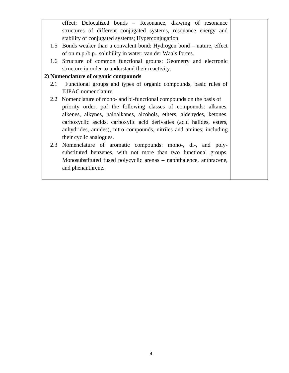effect; Delocalized bonds – Resonance, drawing of resonance structures of different conjugated systems, resonance energy and stability of conjugated systems; Hyperconjugation. 1.5 Bonds weaker than a convalent bond: Hydrogen bond – nature, effect of on m.p./b.p., solubility in water; van der Waals forces. 1.6 Structure of common functional groups: Geometry and electronic structure in order to understand their reactivity. **2) Nomenclature of organic compounds**  2**.**1 Functional groups and types of organic compounds, basic rules of IUPAC nomenclature. 2.2 Nomenclature of mono- and bi-functional compounds on the basis of priority order, pof the following classes of compounds: alkanes, alkenes, alkynes, haloalkanes, alcohols, ethers, aldehydes, ketones, carboxyclic ascids, carboxylic acid derivaties (acid halides, esters, anhydrides, amides), nitro compounds, nitriles and amines; including their cyclic analogues. 2.3 Nomenclature of aromatic compounds: mono-, di-, and polysubstituted benzenes, with not more than two functional groups. Monosubstituted fused polycyclic arenas – naphthalence, anthracene, and phenanthrene.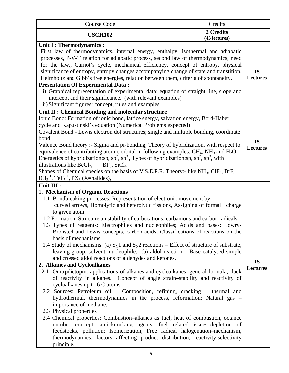| Course Code                                                                                                                                                                                                                                                                                                                                                                                                                                                                                                                                                                                                                                                                                                                                                                                                                                                                                                                                                                                                                                                                                                                                                                                                                                                                                                                                                                                                                                                                                                                                                  | Credits                    |                       |
|--------------------------------------------------------------------------------------------------------------------------------------------------------------------------------------------------------------------------------------------------------------------------------------------------------------------------------------------------------------------------------------------------------------------------------------------------------------------------------------------------------------------------------------------------------------------------------------------------------------------------------------------------------------------------------------------------------------------------------------------------------------------------------------------------------------------------------------------------------------------------------------------------------------------------------------------------------------------------------------------------------------------------------------------------------------------------------------------------------------------------------------------------------------------------------------------------------------------------------------------------------------------------------------------------------------------------------------------------------------------------------------------------------------------------------------------------------------------------------------------------------------------------------------------------------------|----------------------------|-----------------------|
| <b>USCH102</b>                                                                                                                                                                                                                                                                                                                                                                                                                                                                                                                                                                                                                                                                                                                                                                                                                                                                                                                                                                                                                                                                                                                                                                                                                                                                                                                                                                                                                                                                                                                                               | 2 Credits<br>(45 lectures) |                       |
| Unit I : Thermodynamics :<br>First law of thermodynamics, internal energy, enthalpy, isothermal and adiabatic<br>processes, P-V-T relation for adiabatic process, second law of thermodynamics, need<br>for the law,, Carnot's cycle, mechanical efficiency, concept of entropy, physical<br>significance of entropy, entropy changes accompanying change of state and transtition,<br>Helmholtz and Gibb's free energies, relation between them, criteria of spontaneity.<br><b>Presentation Of Experimental Data:</b><br>i) Graphical representation of experimental data: equation of straight line, slope and<br>intercept and their significance. (with relevant examples)<br>ii) Significant figures: concept, rules and examples                                                                                                                                                                                                                                                                                                                                                                                                                                                                                                                                                                                                                                                                                                                                                                                                                      |                            | 15<br><b>Lectures</b> |
| Unit II : Chemical Bonding and molecular structure<br>Ionic Bond: Formation of ionic bond, lattice energy, salvation energy, Bord-Haber<br>cycle and Kapustinski's equation (Numerical Problems expected)<br>Covalent Bond:- Lewis electron dot structures; single and multiple bonding, coordinate<br>bond<br>Valence Bond theory :- Sigma and pi-bonding, Theory of hybridization, with respect to<br>equivalence of contributing atomic orbital in following examples: $CH_4$ , NH <sub>3</sub> and H <sub>2</sub> O,<br>Energetics of hybridization:sp, $sp^2$ , $sp^3$ , Types of hybridization:sp, $sp^2$ , $sp^3$ , with<br>illustrations like $BeCl2$ ,<br>$BF_3$ , $SiCl_4$<br>Shapes of Chemical species on the basis of V.S.E.P.R. Theory:- like NH <sub>3</sub> , CIF <sub>3</sub> , BrF <sub>5</sub> ,<br>$ICI2-1, TeF5-1, PX3 (X=halides),$                                                                                                                                                                                                                                                                                                                                                                                                                                                                                                                                                                                                                                                                                                    |                            | 15<br><b>Lectures</b> |
| Unit III :<br>1. Mechanism of Organic Reactions<br>1.1 Bondbreaking processes: Representation of electronic movement by<br>curved arrows, Homolytic and heterolytic fissions, Assigning of formal charge<br>to given atom.<br>1.2 Formation, Structure an stability of carbocations, carbanions and carbon radicals.<br>1.3 Types of reagents: Electrophiles and nucleophiles; Acids and bases: Lowry-<br>Bronsted and Lewis concepts, carbon acids; Classifications of reactions on the<br>basis of mechanisms.<br>1.4 Study of mechanisms: (a) $S_N1$ and $S_N2$ reactions – Effect of structure of substrate,<br>leaving group, solvent, nucleophile. (b) aldol reaction – Base catalysed simple<br>and crossed aldol reactions of aldehydes and ketones.<br>2. Alkanes and Cycloalkanes<br>2.1 Omtrpdictopm: applications of alkanes and cycloaikanes, general formula, lack<br>of reactivity in alkanes. Concept of angle strain-stability and reactivity of<br>cycloalkanes up to 6 C atoms.<br>2.2 Sources: Petroleum oil – Composition, refining, cracking – thermal and<br>hydrothermal, thermodynamics in the process, reformation; Natural gas -<br>importance of methane.<br>2.3 Physical properties<br>2.4 Chemical properties: Combustion–alkanes as fuel, heat of combustion, octance<br>number concept, anticknocking agents, fuel related issues-depletion of<br>feedstocks, pollution; Isomerization; Free radical halogenation-mechanism,<br>thermodynamics, factors affecting product distribution, reactivity-selectivity<br>principle. |                            | 15<br><b>Lectures</b> |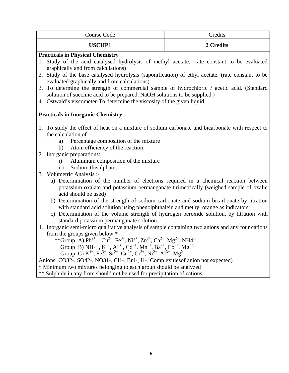| Course Code                                                                                                                                                                                                                                                                                                                                  | Credits   |  |
|----------------------------------------------------------------------------------------------------------------------------------------------------------------------------------------------------------------------------------------------------------------------------------------------------------------------------------------------|-----------|--|
| <b>USCHP1</b>                                                                                                                                                                                                                                                                                                                                | 2 Credits |  |
| <b>Practicals in Physical Chemistry</b>                                                                                                                                                                                                                                                                                                      |           |  |
| 1. Study of the acid catalysed hydrolysis of methyl acetate. (rate constant to be evaluated                                                                                                                                                                                                                                                  |           |  |
| graphically and from calculations)                                                                                                                                                                                                                                                                                                           |           |  |
| 2. Study of the base catalysed hydrolysis (saponification) of ethyl acetate. (rate constant to be                                                                                                                                                                                                                                            |           |  |
| evaluated graphically and from calculations)<br>3. To determine the strength of commercial sample of hydrochloric / acetic acid. (Standard                                                                                                                                                                                                   |           |  |
| solution of succinic acid to be prepared, NaOH solutions to be supplied.)                                                                                                                                                                                                                                                                    |           |  |
| 4. Ostwald's viscometer-To determine the viscosity of the given liquid.                                                                                                                                                                                                                                                                      |           |  |
|                                                                                                                                                                                                                                                                                                                                              |           |  |
| <b>Practicals in Inorganic Chemistry</b>                                                                                                                                                                                                                                                                                                     |           |  |
| 1. To study the effect of heat on a mixture of sodium carbonate and bicarbonate with respect to                                                                                                                                                                                                                                              |           |  |
| the calculation of                                                                                                                                                                                                                                                                                                                           |           |  |
| Percentage composition of the mixture<br>a)                                                                                                                                                                                                                                                                                                  |           |  |
| Atom efficiency of the reaction;<br>b)                                                                                                                                                                                                                                                                                                       |           |  |
| 2. Inorganic preparations:<br>Aluminum composition of the mixture<br>$\mathbf{i}$                                                                                                                                                                                                                                                            |           |  |
| Sodium thisulphate;<br>$\mathbf{ii}$ )                                                                                                                                                                                                                                                                                                       |           |  |
| 3. Volumetric Analysis :-                                                                                                                                                                                                                                                                                                                    |           |  |
| a) Determination of the number of electrons required in a chemical reaction between                                                                                                                                                                                                                                                          |           |  |
| potassium oxalate and potassium permanganate tirimetrically (weighed sample of oxalic                                                                                                                                                                                                                                                        |           |  |
| acid should be used)                                                                                                                                                                                                                                                                                                                         |           |  |
| b) Determination of the strength of sodium carbonate and sodium bicarbonate by titration                                                                                                                                                                                                                                                     |           |  |
| with standard acid solution using phenolphthalein and methyl orange as indicators;                                                                                                                                                                                                                                                           |           |  |
| c) Determination of the volume strength of hydrogen peroxide solution, by titration with<br>standard potassium permanganate solution.                                                                                                                                                                                                        |           |  |
| 4. Inorganic semi-micro qualitative analysis of sample containing two anions and any four cations                                                                                                                                                                                                                                            |           |  |
| from the groups given below:*                                                                                                                                                                                                                                                                                                                |           |  |
| **Group A) $Pb^{2+}$ , $Cu^{2+}$ , $Fe^{3+}$ , $Ni^{2+}$ , $Zn^{2+}$ , $Ca^{2+}$ , $Mg^{2+}$ , NH4 <sup>1+</sup> ,                                                                                                                                                                                                                           |           |  |
| Group B) NH <sub>4</sub> <sup>1+</sup> , K <sup>1+</sup> , AI <sup>3+</sup> , Cd <sup>2+</sup> , Mn <sup>2+</sup> , Ba <sup>2+</sup> , Co <sup>2+</sup> , Mg <sup>2+;</sup><br>Group C) K <sup>1+</sup> , Fe <sup>3+</sup> , Sr <sup>2+</sup> , Cu <sup>2+</sup> , Cr <sup>3+</sup> , Ni <sup>2+</sup> , AI <sup>3+</sup> , Mg <sup>2-</sup> |           |  |
|                                                                                                                                                                                                                                                                                                                                              |           |  |
| Anions: CO32-, SO42-, NO31-, Cl1-, Br1-, I1-, Complexities of anion not expected)                                                                                                                                                                                                                                                            |           |  |
| * Minimum two mixtures belonging to each group should be analyzed                                                                                                                                                                                                                                                                            |           |  |
| ** Sulphide in any from should not be used for precipitation of cations.                                                                                                                                                                                                                                                                     |           |  |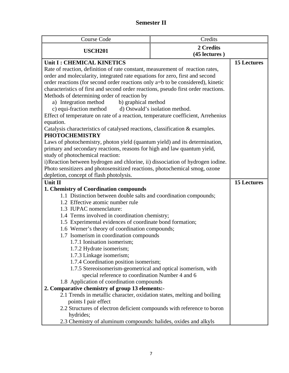### **Semester II**

| Course Code                                                                                                       | Credits                        |                    |
|-------------------------------------------------------------------------------------------------------------------|--------------------------------|--------------------|
| <b>USCH201</b>                                                                                                    | 2 Credits                      |                    |
|                                                                                                                   | (45 lectures)                  |                    |
| Unit I: CHEMICAL KINETICS                                                                                         |                                | <b>15 Lectures</b> |
| Rate of reaction, definition of rate constant, measurement of reaction rates,                                     |                                |                    |
| order and molecularity, integrated rate equations for zero, first and second                                      |                                |                    |
| order reactions (for second order reactions only a=b to be considered), kinetic                                   |                                |                    |
| characteristics of first and second order reactions, pseudo first order reactions.                                |                                |                    |
| Methods of determining order of reaction by                                                                       |                                |                    |
| a) Integration method<br>b) graphical method                                                                      |                                |                    |
| c) equi-fraction method                                                                                           | d) Ostwald's isolation method. |                    |
| Effect of temperature on rate of a reaction, temperature coefficient, Arrehenius                                  |                                |                    |
| equation.                                                                                                         |                                |                    |
| Catalysis characteristics of catalysed reactions, classification & examples.                                      |                                |                    |
| <b>PHOTOCHEMISTRY</b>                                                                                             |                                |                    |
| Laws of photochemistry, photon yield (quantum yield) and its determination,                                       |                                |                    |
| primary and secondary reactions, reasons for high and law quantum yield,                                          |                                |                    |
| study of photochemical reaction:                                                                                  |                                |                    |
| i) Reaction between hydrogen and chlorine, ii) dissociation of hydrogen iodine.                                   |                                |                    |
| Photo sensitizers and photosensitized reactions, photochemical smog, ozone                                        |                                |                    |
| depletion, concept of flash photolysis.                                                                           |                                |                    |
| <b>Unit II</b>                                                                                                    |                                | <b>15 Lectures</b> |
| 1. Chemistry of Coordination compounds                                                                            |                                |                    |
| 1.1 Distinction between double salts and coordination compounds;                                                  |                                |                    |
| 1.2 Effective atomic number rule                                                                                  |                                |                    |
| 1.3 IUPAC nomenclature:                                                                                           |                                |                    |
| 1.4 Terms involved in coordination chemistry;                                                                     |                                |                    |
| 1.5 Experimental evidences of coordinate bond formation;                                                          |                                |                    |
| 1.6 Werner's theory of coordination compounds;                                                                    |                                |                    |
| 1.7 Isomerism in coordination compounds                                                                           |                                |                    |
| 1.7.1 Ionisation isomerism;                                                                                       |                                |                    |
| 1.7.2 Hydrate isomerism;                                                                                          |                                |                    |
| 1.7.3 Linkage isomerism;                                                                                          |                                |                    |
| 1.7.4 Coordination position isomerism;                                                                            |                                |                    |
| 1.7.5 Stereoisomerism-geometrical and optical isomerism, with<br>special reference to coordination Number 4 and 6 |                                |                    |
| 1.8 Application of coordination compounds                                                                         |                                |                    |
| 2. Comparative chemistry of group 13 elements:-                                                                   |                                |                    |
| 2.1 Trends in metallic character, oxidation states, melting and boiling                                           |                                |                    |
| points I pair effect                                                                                              |                                |                    |
| 2.2 Structures of electron deficient compounds with reference to boron                                            |                                |                    |
| hydrides;                                                                                                         |                                |                    |
| 2.3 Chemistry of aluminum compounds: halides, oxides and alkyls                                                   |                                |                    |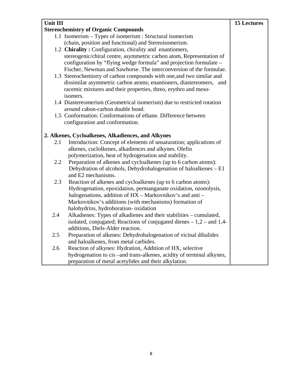| Unit III |                                                                                                                                     | <b>15 Lectures</b> |
|----------|-------------------------------------------------------------------------------------------------------------------------------------|--------------------|
|          | <b>Stereochemistry of Organic Compounds</b>                                                                                         |                    |
|          | 1.1 Isomerism – Types of isomerism : Structural isomerism                                                                           |                    |
|          | (chain, position and functional) and Stereoisomerism.                                                                               |                    |
|          | 1.2 Chirality: Configuration, chirality and enantiomers,                                                                            |                    |
|          | stereogenic/chiral centre, asymmetric carbon atom, Representation of                                                                |                    |
|          | configuration by "flying wedge formula" and projection formulate –                                                                  |                    |
|          | Fischer, Newman and Sawhorse. The interconversion of the formulae.                                                                  |                    |
|          | 1.3 Stereochemistry of carbon compounds with one, and two similar and                                                               |                    |
|          | dissimilar asymmetric carbon atoms; enantioners, diastereomers, and                                                                 |                    |
|          | racemic mixtures and their properties, threo, erythro and meso-                                                                     |                    |
|          | isomers.                                                                                                                            |                    |
|          | 1.4 Diastereomerism (Geometrical isomerism) due to restricted rotation                                                              |                    |
|          | around cabon-carbon double bond.                                                                                                    |                    |
|          | 1.5 Conformation: Conformations of ethane. Difference between                                                                       |                    |
|          | configuration and conformation.                                                                                                     |                    |
|          |                                                                                                                                     |                    |
|          | 2. Alkenes, Cycloalkenes, Alkadiences, and Alkynes                                                                                  |                    |
| 2.1      | Introduction: Concept of elements of unsaturation; applications of                                                                  |                    |
|          | alkenes, cuclolkenes, alkadiences and alkynes. Olefin                                                                               |                    |
| 2.2      | polymerization, heat of hydrogenation and stability.                                                                                |                    |
|          | Preparation of alkenes and cycloalkenes (up to 6 carbon atoms):<br>Dehydration of alcohols, Dehydrohalogenation of haloalkenes - E1 |                    |
|          | and E2 mechanisms.                                                                                                                  |                    |
| 2.3      | Reaction of alkenes and cycloalkenes (up to 6 carbon atoms):                                                                        |                    |
|          | Hydrogenation, epoxidation, permanganate oxidation, ozonolysis,                                                                     |                    |
|          | halogenations, addition of HX – Markovnikov's and anti –                                                                            |                    |
|          | Markovnikov's additions (with mechanisms) formation of                                                                              |                    |
|          | halohydrins, hydroboration- oxidation                                                                                               |                    |
| 2.4      | Alkadienes: Types of alkadienes and their stabilities - cumulated,                                                                  |                    |
|          | isolated, conjugated; Reactions of conjugated dienes $-1,2$ – and 1,4-                                                              |                    |
|          | additions, Diels-Alder reaction.                                                                                                    |                    |
| 2.5      | Preparation of alkenes: Dehydrohalogenation of vicinal dihalides                                                                    |                    |
|          | and haloalkenes, from metal carbides.                                                                                               |                    |
| 2.6      | Reaction of alkynes: Hydration, Addition of HX, selective                                                                           |                    |
|          | hydrogenation to cis-and trans-alkenes, acidity of terminal alkynes,                                                                |                    |
|          | preparation of metal acetylides and their alkylation.                                                                               |                    |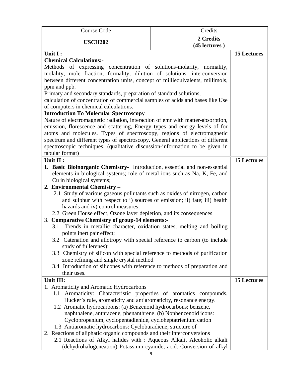| Course Code                                                                                                       | Credits |                    |
|-------------------------------------------------------------------------------------------------------------------|---------|--------------------|
| 2 Credits<br><b>USCH202</b><br>(45 lectures)                                                                      |         |                    |
| Unit I:                                                                                                           |         | <b>15 Lectures</b> |
| <b>Chemical Calculations:-</b>                                                                                    |         |                    |
| Methods of expressing concentration of solutions-molarity, normality,                                             |         |                    |
| molality, mole fraction, formality, dilution of solutions, interconversion                                        |         |                    |
| between different concentration units, concept of milliequivalents, millimols,                                    |         |                    |
| ppm and ppb.<br>Primary and secondary standards, preparation of standard solutions,                               |         |                    |
| calculation of concentration of commercial samples of acids and bases like Use                                    |         |                    |
| of computers in chemical calculations.                                                                            |         |                    |
| <b>Introduction To Molecular Spectroscopy</b>                                                                     |         |                    |
| Nature of electromagnetic radiation, interaction of emr with matter-absorption,                                   |         |                    |
| emission, florescence and scattering, Energy types and energy levels of for                                       |         |                    |
| atoms and molecules. Types of spectroscopy, regions of electromagnetic                                            |         |                    |
| spectrum and different types of spectroscopy. General applications of different                                   |         |                    |
| spectroscopic techniques. (qualitative discussion-information to be given in                                      |         |                    |
| tabular format)                                                                                                   |         |                    |
| Unit II :                                                                                                         |         | <b>15 Lectures</b> |
| 1. Basic Bioinorganic Chemistry- Introduction, essential and non-essential                                        |         |                    |
| elements in biological systems; role of metal ions such as Na, K, Fe, and                                         |         |                    |
| Cu in biological systems;                                                                                         |         |                    |
| 2. Environmental Chemistry -<br>2.1 Study of various gaseous pollutants such as oxides of nitrogen, carbon        |         |                    |
| and sulphur with respect to i) sources of emission; ii) fate; iii) health                                         |         |                    |
| hazards and iv) control measures;                                                                                 |         |                    |
| 2.2 Green House effect, Ozone layer depletion, and its consequences                                               |         |                    |
| <b>Comparative Chemistry of group-14 elements:-</b><br>3.                                                         |         |                    |
| Trends in metallic character, oxidation states, melting and boiling<br>3.1                                        |         |                    |
| points inert pair effect;                                                                                         |         |                    |
| 3.2 Catenation and allotropy with special reference to carbon (to include                                         |         |                    |
| study of fullerenes):                                                                                             |         |                    |
| 3.3 Chemistry of silicon with special reference to methods of purification                                        |         |                    |
| zone refining and single crystal method                                                                           |         |                    |
| 3.4 Introduction of silicones with reference to methods of preparation and                                        |         |                    |
| their uses.                                                                                                       |         | <b>15 Lectures</b> |
| Unit III:                                                                                                         |         |                    |
| 1. Aromaticity and Aromatic Hydrocarbons<br>Aromaticity: Characteristic properties of aromatics compounds,<br>1.1 |         |                    |
| Hucker's rule, aromaticity and antiaromaticity, resonance energy.                                                 |         |                    |
| 1.2 Aromatic hydrocarbons: (a) Benzenoid hydrocarbons; benzene,                                                   |         |                    |
| naphthalene, antnracene, phenanthrene. (b) Nonbenzenoid icons:                                                    |         |                    |
| Cyclopropenium, cyclopentadienide, cycloheptatrienium cation                                                      |         |                    |
| 1.3 Antiaromatic hydrocarbons: Cycloburadiene, structure of                                                       |         |                    |
| 2. Reactions of aliphatic organic compounds and their interconversions                                            |         |                    |
| 2.1 Reactions of Alkyl halides with : Aqueous Alkali, Alcoholic alkali                                            |         |                    |
| (dehydrohalogeneation) Potassium cyanide, acid. Conversion of alkyl                                               |         |                    |
|                                                                                                                   | 9       |                    |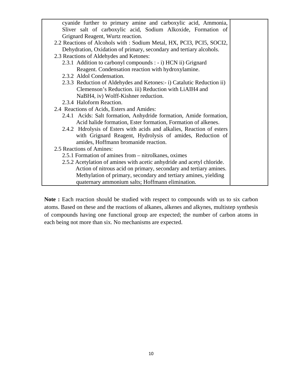| cyanide further to primary amine and carboxylic acid, Ammonia,         |  |
|------------------------------------------------------------------------|--|
| Sliver salt of carboxylic acid, Sodium Alkoxide, Formation of          |  |
| Grignard Reagent, Wurtz reaction.                                      |  |
| 2.2 Reactions of Alcohols with : Sodium Metal, HX, PCI3, PCI5, SOCI2,  |  |
| Dehydration, Oxidation of primary, secondary and tertiary alcohols.    |  |
| 2.3 Reactions of Aldehydes and Ketones:                                |  |
| 2.3.1 Addition to carbonyl compounds : - i) HCN ii) Grignard           |  |
| Reagent. Condensation reaction with hydroxylamine.                     |  |
| 2.3.2 Aldol Condensation.                                              |  |
| 2.3.3 Reduction of Aldehydes and Ketones:- i) Catalutic Reduction ii)  |  |
| Clemenson's Reduction. iii) Reduction with LiAIH4 and                  |  |
| NaBH4, iv) Wolff-Kishner reduction.                                    |  |
| 2.3.4 Haloform Reaction.                                               |  |
| 2.4 Reactions of Acids, Esters and Amides:                             |  |
| 2.4.1 Acids: Salt formation, Anhydride formation, Amide formation,     |  |
| Acid halide formation, Ester formation, Formation of alkenes.          |  |
| 2.4.2 Hdrolysis of Esters with acids and alkalies, Reaction of esters  |  |
| with Grignard Reagent, Hydrolysis of amides, Reduction of              |  |
| amides, Hoffmann bromanide reaction.                                   |  |
| 2.5 Reactions of Amines:                                               |  |
| 2.5.1 Formation of amines from – nitrolkanes, oximes                   |  |
| 2.5.2 Acetylation of amines with acetic anhydride and acetyl chloride. |  |
| Action of nitrous acid on primary, secondary and tertiary amines.      |  |
| Methylation of primary, secondary and tertiary amines, yielding        |  |
| quaternary ammonium salts; Hoffmann elimination.                       |  |

**Note :** Each reaction should be studied with respect to compounds with us to six carbon atoms. Based on these and the reactions of alkanes, alkenes and alkynes, multistep synthesis of compounds having one functional group are expected; the number of carbon atoms in each being not more than six. No mechanisms are expected.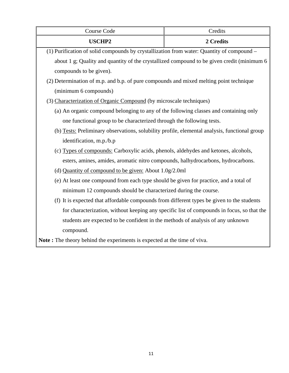| Course Code                                                                                   | Credits                                                                                    |  |
|-----------------------------------------------------------------------------------------------|--------------------------------------------------------------------------------------------|--|
| <b>USCHP2</b>                                                                                 | 2 Credits                                                                                  |  |
| (1) Purification of solid compounds by crystallization from water: Quantity of compound -     |                                                                                            |  |
| about 1 g; Quality and quantity of the crystallized compound to be given credit (minimum 6    |                                                                                            |  |
| compounds to be given).                                                                       |                                                                                            |  |
| (2) Determination of m.p. and b.p. of pure compounds and mixed melting point technique        |                                                                                            |  |
| (minimum 6 compounds)                                                                         |                                                                                            |  |
| (3) Characterization of Organic Compound (by microscale techniques)                           |                                                                                            |  |
| (a) An organic compound belonging to any of the following classes and containing only         |                                                                                            |  |
| one functional group to be characterized through the following tests.                         |                                                                                            |  |
| (b) Tests: Preliminary observations, solubility profile, elemental analysis, functional group |                                                                                            |  |
| identification, m.p./b.p                                                                      |                                                                                            |  |
| (c) Types of compounds: Carboxylic acids, phenols, aldehydes and ketones, alcohols,           |                                                                                            |  |
| esters, amines, amides, aromatic nitro compounds, halhydrocarbons, hydrocarbons.              |                                                                                            |  |
| (d) Quantity of compound to be given: About 1.0g/2.0ml                                        |                                                                                            |  |
| (e) At least one compound from each type should be given for practice, and a total of         |                                                                                            |  |
| minimum 12 compounds should be characterized during the course.                               |                                                                                            |  |
| (f) It is expected that affordable compounds from different types be given to the students    |                                                                                            |  |
|                                                                                               | for characterization, without keeping any specific list of compounds in focus, so that the |  |
| students are expected to be confident in the methods of analysis of any unknown               |                                                                                            |  |
| compound.                                                                                     |                                                                                            |  |
| Note: The theory behind the experiments is expected at the time of viva.                      |                                                                                            |  |